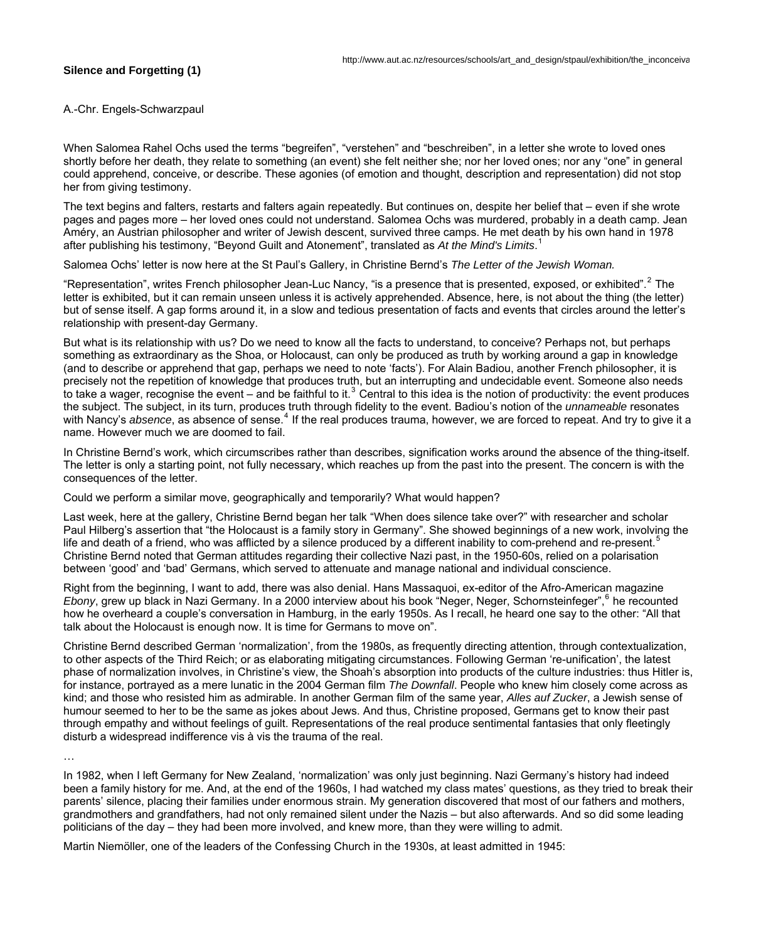## **Silence and Forgetting (1)**

A.-Chr. Engels-Schwarzpaul

When Salomea Rahel Ochs used the terms "begreifen", "verstehen" and "beschreiben", in a letter she wrote to loved ones shortly before her death, they relate to something (an event) she felt neither she; nor her loved ones; nor any "one" in general could apprehend, conceive, or describe. These agonies (of emotion and thought, description and representation) did not stop her from giving testimony.

The text begins and falters, restarts and falters again repeatedly. But continues on, despite her belief that – even if she wrote pages and pages more – her loved ones could not understand. Salomea Ochs was murdered, probably in a death camp. Jean Améry, an Austrian philosopher and writer of Jewish descent, survived three camps. He met death by his own hand in 1978 after publishing his testimony, "Beyond Guilt and Atonement", translated as *At the Mind's Limits*. [1](#page-4-0)

Salomea Ochs' letter is now here at the St Paul's Gallery, in Christine Bernd's *The Letter of the Jewish Woman.* 

"Representation", writes French philosopher Jean-Luc Nancy, "is a presence that is presented, exposed, or exhibited".<sup>[2](#page-4-1)</sup> The letter is exhibited, but it can remain unseen unless it is actively apprehended. Absence, here, is not about the thing (the letter) but of sense itself. A gap forms around it, in a slow and tedious presentation of facts and events that circles around the letter's relationship with present-day Germany.

But what is its relationship with us? Do we need to know all the facts to understand, to conceive? Perhaps not, but perhaps something as extraordinary as the Shoa, or Holocaust, can only be produced as truth by working around a gap in knowledge (and to describe or apprehend that gap, perhaps we need to note 'facts'). For Alain Badiou, another French philosopher, it is precisely not the repetition of knowledge that produces truth, but an interrupting and undecidable event. Someone also needs to take a wager, recognise the event  $-$  and be faithful to it.<sup>[3](#page-4-1)</sup> Central to this idea is the notion of productivity: the event produces the subject. The subject, in its turn, produces truth through fidelity to the event. Badiou's notion of the *unnameable* resonates with Nancy's absence, as absence of sense.<sup>[4](#page-4-1)</sup> If the real produces trauma, however, we are forced to repeat. And try to give it a name. However much we are doomed to fail.

In Christine Bernd's work, which circumscribes rather than describes, signification works around the absence of the thing-itself. The letter is only a starting point, not fully necessary, which reaches up from the past into the present. The concern is with the consequences of the letter.

Could we perform a similar move, geographically and temporarily? What would happen?

Last week, here at the gallery, Christine Bernd began her talk "When does silence take over?" with researcher and scholar Paul Hilberg's assertion that "the Holocaust is a family story in Germany". She showed beginnings of a new work, involving the life and death of a friend, who was afflicted by a silence produced by a different inability to com-prehend and re-present.<sup>[5](#page-4-1)</sup> Christine Bernd noted that German attitudes regarding their collective Nazi past, in the 1950-60s, relied on a polarisation between 'good' and 'bad' Germans, which served to attenuate and manage national and individual conscience.

Right from the beginning, I want to add, there was also denial. Hans Massaquoi, ex-editor of the Afro-American magazine Ebony, grew up black in Nazi Germany. In a 2000 interview about his book "Neger, Neger, Schornsteinfeger", <sup>[6](#page-4-1)</sup> he recounted how he overheard a couple's conversation in Hamburg, in the early 1950s. As I recall, he heard one say to the other: "All that talk about the Holocaust is enough now. It is time for Germans to move on".

Christine Bernd described German 'normalization', from the 1980s, as frequently directing attention, through contextualization, to other aspects of the Third Reich; or as elaborating mitigating circumstances. Following German 're-unification', the latest phase of normalization involves, in Christine's view, the Shoah's absorption into products of the culture industries: thus Hitler is, for instance, portrayed as a mere lunatic in the 2004 German film *The Downfall*. People who knew him closely come across as kind; and those who resisted him as admirable. In another German film of the same year, *Alles auf Zucker*, a Jewish sense of humour seemed to her to be the same as jokes about Jews. And thus, Christine proposed, Germans get to know their past through empathy and without feelings of guilt. Representations of the real produce sentimental fantasies that only fleetingly disturb a widespread indifference vis à vis the trauma of the real.

…

In 1982, when I left Germany for New Zealand, 'normalization' was only just beginning. Nazi Germany's history had indeed been a family history for me. And, at the end of the 1960s, I had watched my class mates' questions, as they tried to break their parents' silence, placing their families under enormous strain. My generation discovered that most of our fathers and mothers, grandmothers and grandfathers, had not only remained silent under the Nazis – but also afterwards. And so did some leading politicians of the day – they had been more involved, and knew more, than they were willing to admit.

Martin Niemöller, one of the leaders of the Confessing Church in the 1930s, at least admitted in 1945: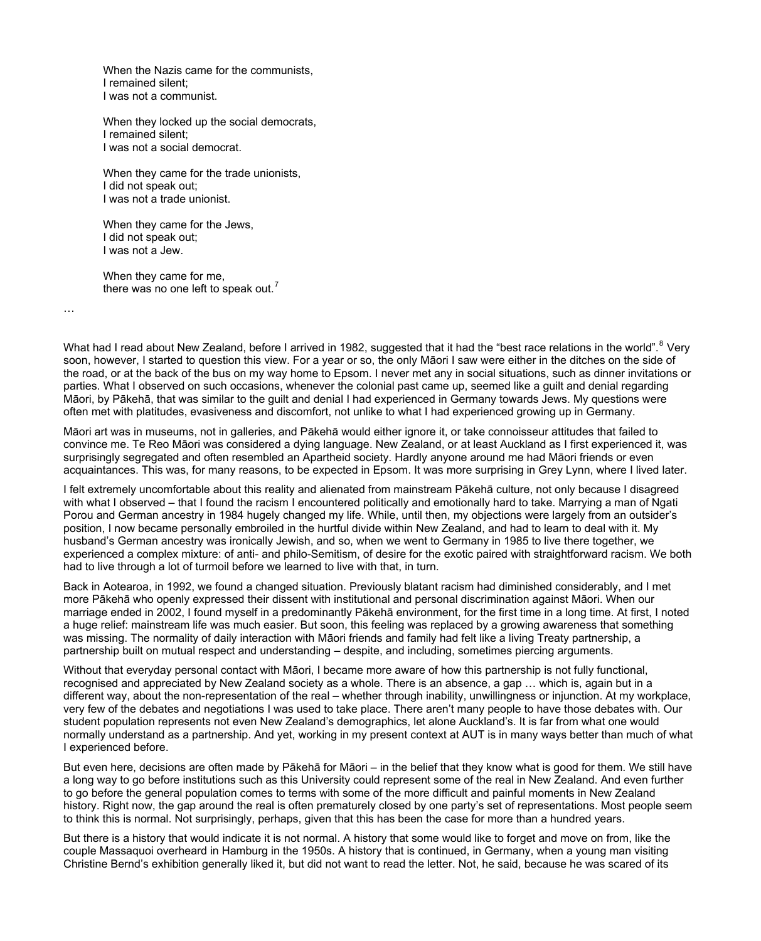When the Nazis came for the [communists](http://en.wikipedia.org/wiki/Communist), I remained silent; I was not a communist.

When they locked up the [social democrats,](http://en.wikipedia.org/wiki/Social_democrat) I remained silent; I was not a social democrat.

When they came for the [trade unionists](http://en.wikipedia.org/wiki/Trade_union), I did not speak out; I was not a trade unionist.

When they came for the [Jews,](http://en.wikipedia.org/wiki/Jew) I did not speak out; I was not a Jew.

When they came for me, there was no one left to speak out.<sup>[7](#page-4-1)</sup>

…

What had I read about New Zealand, before I arrived in 19[8](#page-4-1)2, suggested that it had the "best race relations in the world".<sup>8</sup> Very soon, however, I started to question this view. For a year or so, the only Māori I saw were either in the ditches on the side of the road, or at the back of the bus on my way home to Epsom. I never met any in social situations, such as dinner invitations or parties. What I observed on such occasions, whenever the colonial past came up, seemed like a guilt and denial regarding Māori, by Pākehā, that was similar to the guilt and denial I had experienced in Germany towards Jews. My questions were often met with platitudes, evasiveness and discomfort, not unlike to what I had experienced growing up in Germany.

Māori art was in museums, not in galleries, and Pākehā would either ignore it, or take connoisseur attitudes that failed to convince me. Te Reo Māori was considered a dying language. New Zealand, or at least Auckland as I first experienced it, was surprisingly segregated and often resembled an Apartheid society. Hardly anyone around me had Māori friends or even acquaintances. This was, for many reasons, to be expected in Epsom. It was more surprising in Grey Lynn, where I lived later.

I felt extremely uncomfortable about this reality and alienated from mainstream Pākehā culture, not only because I disagreed with what I observed – that I found the racism I encountered politically and emotionally hard to take. Marrying a man of Ngati Porou and German ancestry in 1984 hugely changed my life. While, until then, my objections were largely from an outsider's position, I now became personally embroiled in the hurtful divide within New Zealand, and had to learn to deal with it. My husband's German ancestry was ironically Jewish, and so, when we went to Germany in 1985 to live there together, we experienced a complex mixture: of anti- and philo-Semitism, of desire for the exotic paired with straightforward racism. We both had to live through a lot of turmoil before we learned to live with that, in turn.

Back in Aotearoa, in 1992, we found a changed situation. Previously blatant racism had diminished considerably, and I met more Pākehā who openly expressed their dissent with institutional and personal discrimination against Māori. When our marriage ended in 2002, I found myself in a predominantly Pākehā environment, for the first time in a long time. At first, I noted a huge relief: mainstream life was much easier. But soon, this feeling was replaced by a growing awareness that something was missing. The normality of daily interaction with Māori friends and family had felt like a living Treaty partnership, a partnership built on mutual respect and understanding – despite, and including, sometimes piercing arguments.

Without that everyday personal contact with Māori, I became more aware of how this partnership is not fully functional, recognised and appreciated by New Zealand society as a whole. There is an absence, a gap … which is, again but in a different way, about the non-representation of the real – whether through inability, unwillingness or injunction. At my workplace, very few of the debates and negotiations I was used to take place. There aren't many people to have those debates with. Our student population represents not even New Zealand's demographics, let alone Auckland's. It is far from what one would normally understand as a partnership. And yet, working in my present context at AUT is in many ways better than much of what I experienced before.

But even here, decisions are often made by Pākehā for Māori – in the belief that they know what is good for them. We still have a long way to go before institutions such as this University could represent some of the real in New Zealand. And even further to go before the general population comes to terms with some of the more difficult and painful moments in New Zealand history. Right now, the gap around the real is often prematurely closed by one party's set of representations. Most people seem to think this is normal. Not surprisingly, perhaps, given that this has been the case for more than a hundred years.

But there is a history that would indicate it is not normal. A history that some would like to forget and move on from, like the couple Massaquoi overheard in Hamburg in the 1950s. A history that is continued, in Germany, when a young man visiting Christine Bernd's exhibition generally liked it, but did not want to read the letter. Not, he said, because he was scared of its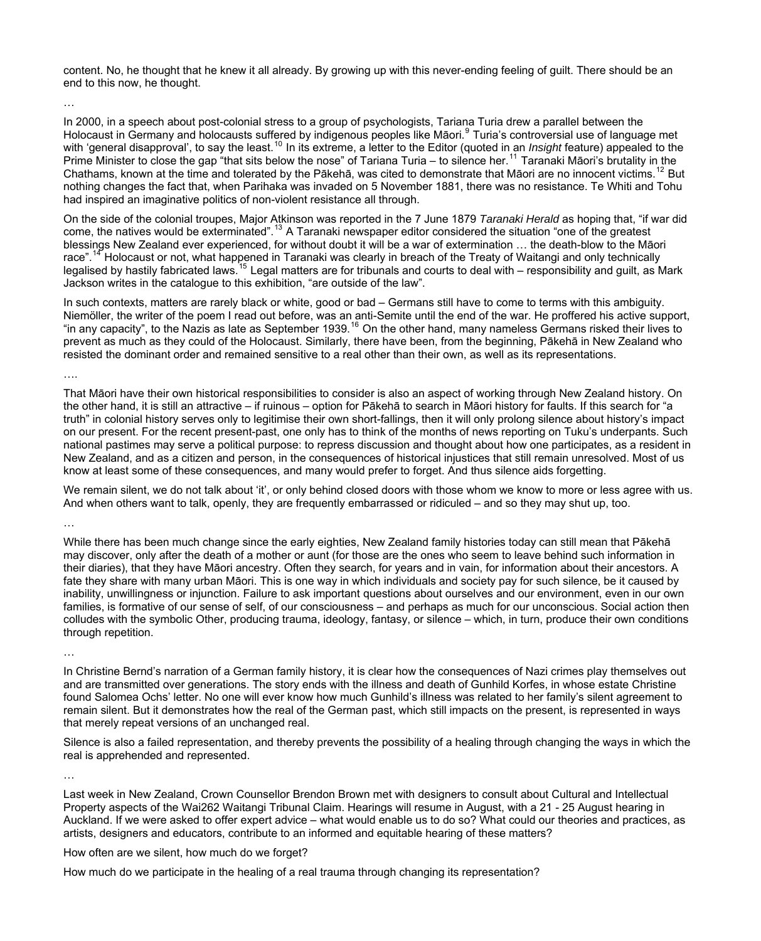content. No, he thought that he knew it all already. By growing up with this never-ending feeling of guilt. There should be an end to this now, he thought.

…

In 2000, in a speech about post-colonial stress to a group of psychologists, Tariana Turia drew a parallel between the Holocaust in Germany and holocausts suffered by indigenous peoples like Māori.<sup>[9](#page-4-1)</sup> Turia's controversial use of language met with 'general disapproval', to say the least.<sup>[10](#page-4-1)</sup> In its extreme, a letter to the Editor (quoted in an *Insight* feature) appealed to the Prime Minister to close the gap "that sits below the nose" of Tariana Turia – to silence her.<sup>[11](#page-4-1)</sup> Taranaki Māori's brutality in the Chathams, known at the time and tolerated by the Pākehā, was cited to demonstrate that Māori are no innocent victims.<sup>[12](#page-4-1)</sup> But nothing changes the fact that, when Parihaka was invaded on 5 November 1881, there was no resistance. Te Whiti and Tohu had inspired an imaginative politics of non-violent resistance all through.

On the side of the colonial troupes, Major Atkinson was reported in the 7 June 1879 *Taranaki Herald* as hoping that, "if war did come, the natives would be exterminated".<sup>[13](#page-4-1)</sup> A Taranaki newspaper editor considered the situation "one of the greatest" blessings New Zealand ever experienced, for without doubt it will be a war of extermination … the death-blow to the Māori race".<sup>[14](#page-4-1)</sup> Holocaust or not, what happened in Taranaki was clearly in breach of the Treaty of Waitangi and only technically legalised by hastily fabricated laws.<sup>[15](#page-4-1)</sup> Legal matters are for tribunals and courts to deal with – responsibility and guilt, as Mark Jackson writes in the catalogue to this exhibition, "are outside of the law".

In such contexts, matters are rarely black or white, good or bad – Germans still have to come to terms with this ambiguity. Niemöller, the writer of the poem I read out before, was an anti-Semite until the end of the war. He proffered his active support, "in any capacity", to the Nazis as late as September 1939.<sup>[16](#page-4-1)</sup> On the other hand, many nameless Germans risked their lives to prevent as much as they could of the Holocaust. Similarly, there have been, from the beginning, Pākehā in New Zealand who resisted the dominant order and remained sensitive to a real other than their own, as well as its representations.

….

That Māori have their own historical responsibilities to consider is also an aspect of working through New Zealand history. On the other hand, it is still an attractive – if ruinous – option for Pākehā to search in Māori history for faults. If this search for "a truth" in colonial history serves only to legitimise their own short-fallings, then it will only prolong silence about history's impact on our present. For the recent present-past, one only has to think of the months of news reporting on Tuku's underpants. Such national pastimes may serve a political purpose: to repress discussion and thought about how one participates, as a resident in New Zealand, and as a citizen and person, in the consequences of historical injustices that still remain unresolved. Most of us know at least some of these consequences, and many would prefer to forget. And thus silence aids forgetting.

We remain silent, we do not talk about 'it', or only behind closed doors with those whom we know to more or less agree with us. And when others want to talk, openly, they are frequently embarrassed or ridiculed – and so they may shut up, too.

…

While there has been much change since the early eighties, New Zealand family histories today can still mean that Pākehā may discover, only after the death of a mother or aunt (for those are the ones who seem to leave behind such information in their diaries), that they have Māori ancestry. Often they search, for years and in vain, for information about their ancestors. A fate they share with many urban Māori. This is one way in which individuals and society pay for such silence, be it caused by inability, unwillingness or injunction. Failure to ask important questions about ourselves and our environment, even in our own families, is formative of our sense of self, of our consciousness – and perhaps as much for our unconscious. Social action then colludes with the symbolic Other, producing trauma, ideology, fantasy, or silence – which, in turn, produce their own conditions through repetition.

…

In Christine Bernd's narration of a German family history, it is clear how the consequences of Nazi crimes play themselves out and are transmitted over generations. The story ends with the illness and death of Gunhild Korfes, in whose estate Christine found Salomea Ochs' letter. No one will ever know how much Gunhild's illness was related to her family's silent agreement to remain silent. But it demonstrates how the real of the German past, which still impacts on the present, is represented in ways that merely repeat versions of an unchanged real.

Silence is also a failed representation, and thereby prevents the possibility of a healing through changing the ways in which the real is apprehended and represented.

…

Last week in New Zealand, Crown Counsellor Brendon Brown met with designers to consult about Cultural and Intellectual Property aspects of the Wai262 Waitangi Tribunal Claim. Hearings will resume in August, with a 21 - 25 August hearing in Auckland. If we were asked to offer expert advice – what would enable us to do so? What could our theories and practices, as artists, designers and educators, contribute to an informed and equitable hearing of these matters?

How often are we silent, how much do we forget?

How much do we participate in the healing of a real trauma through changing its representation?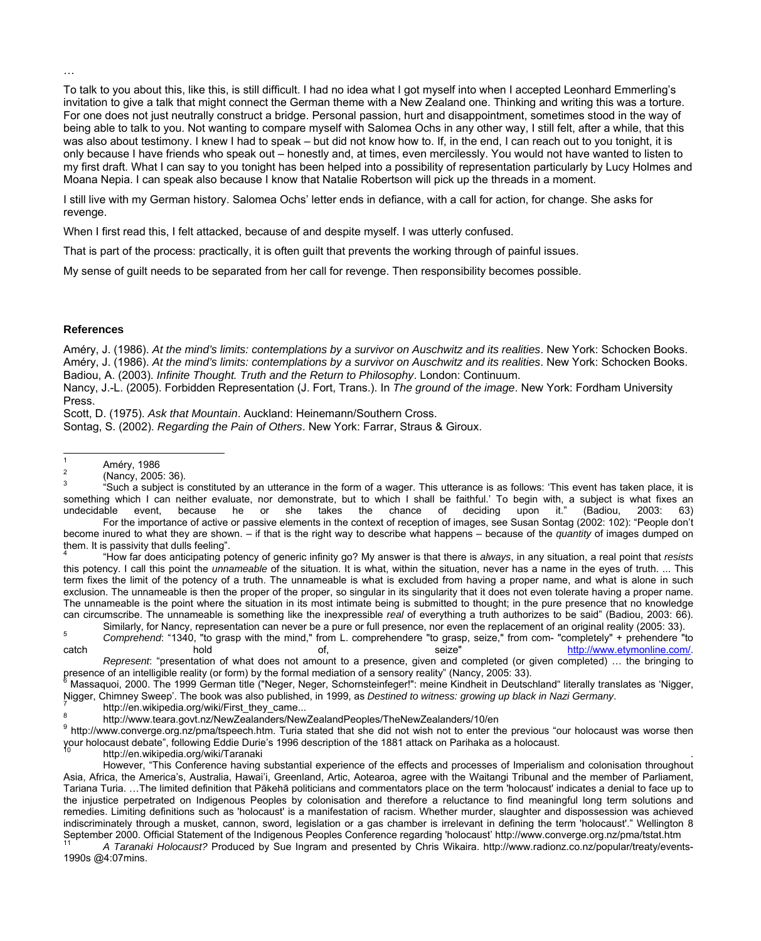To talk to you about this, like this, is still difficult. I had no idea what I got myself into when I accepted Leonhard Emmerling's invitation to give a talk that might connect the German theme with a New Zealand one. Thinking and writing this was a torture. For one does not just neutrally construct a bridge. Personal passion, hurt and disappointment, sometimes stood in the way of being able to talk to you. Not wanting to compare myself with Salomea Ochs in any other way, I still felt, after a while, that this was also about testimony. I knew I had to speak – but did not know how to. If, in the end, I can reach out to you tonight, it is only because I have friends who speak out – honestly and, at times, even mercilessly. You would not have wanted to listen to my first draft. What I can say to you tonight has been helped into a possibility of representation particularly by Lucy Holmes and Moana Nepia. I can speak also because I know that Natalie Robertson will pick up the threads in a moment.

I still live with my German history. Salomea Ochs' letter ends in defiance, with a call for action, for change. She asks for revenge.

When I first read this, I felt attacked, because of and despite myself. I was utterly confused.

That is part of the process: practically, it is often guilt that prevents the working through of painful issues.

My sense of guilt needs to be separated from her call for revenge. Then responsibility becomes possible.

## **References**

…

Améry, J. (1986). *At the mind's limits: contemplations by a survivor on Auschwitz and its realities*. New York: Schocken Books. Améry, J. (1986). *At the mind's limits: contemplations by a survivor on Auschwitz and its realities*. New York: Schocken Books. Badiou, A. (2003). *Infinite Thought. Truth and the Return to Philosophy*. London: Continuum.

Nancy, J.-L. (2005). Forbidden Representation (J. Fort, Trans.). In *The ground of the image*. New York: Fordham University Press.

Scott, D. (1975). *Ask that Mountain*. Auckland: Heinemann/Southern Cross.

Sontag, S. (2002). *Regarding the Pain of Others*. New York: Farrar, Straus & Giroux.

 $\frac{1}{1}$  Améry, 1986  $\mathfrak{p}$ 

3 "Such a subject is constituted by an utterance in the form of a wager. This utterance is as follows: 'This event has taken place, it is something which I can neither evaluate, nor demonstrate, but to which I shall be faithful.' To begin with, a subject is what fixes an undecidable event, because he or she takes the chance of deciding upon it." (Badiou, 2003: 63)

 For the importance of active or passive elements in the context of reception of images, see Susan Sontag (2002: 102): "People don't become inured to what they are shown. – if that is the right way to describe what happens – because of the *quantity* of images dumped on them. It is passivity that dulls feeling".<br><sup>4</sup><br>thout far does onticipating no

 "How far does anticipating potency of generic infinity go? My answer is that there is *always*, in any situation, a real point that *resists* this potency. I call this point the *unnameable* of the situation. It is what, within the situation, never has a name in the eyes of truth. ... This term fixes the limit of the potency of a truth. The unnameable is what is excluded from having a proper name, and what is alone in such exclusion. The unnameable is then the proper of the proper, so singular in its singularity that it does not even tolerate having a proper name. The unnameable is the point where the situation in its most intimate being is submitted to thought; in the pure presence that no knowledge can circumscribe. The unnameable is something like the inexpressible *real* of everything a truth authorizes to be said" (Badiou, 2003: 66).

Similarly, for Nancy, representation can never be a pure or full presence, nor even the replacement of an original reality (2005: 33). *Comprehend*: "1340, "to grasp with the mind," from L. comprehendere "to grasp, seize," from com- "completely" + prehendere "to catch hold hold of, seize" <http://www.etymonline.com/>.

*Represent*: "presentation of what does not amount to a presence, given and completed (or given completed) … the bringing to presence of an intelligible reality (or form) by the formal mediation of a sensory reality" (Nancy, 2005: 33).

 Massaquoi, 2000. The 1999 German title ("Neger, Neger, Schornsteinfeger!": meine Kindheit in Deutschland" literally translates as 'Nigger, Nigger, Chimney Sweep'. The book was also published, in 1999, as *Destined to witness: growing up black in Nazi Germany*. <sup>7</sup>

http://en.wikipedia.org/wiki/First\_they\_came... 8

http://www.teara.govt.nz/NewZealanders/NewZealandPeoples/TheNewZealanders/10/en

<sup>9</sup> <http://www.converge.org.nz/pma/tspeech.htm>. Turia stated that she did not wish not to enter the previous "our holocaust was worse then your holocaust debate", following Eddie Durie's 1996 description of the 1881 attack on Parihaka as a holocaust.<br><sup>10</sup> http://en.wikipedia.org/wiki/Taranaki

 However, "This Conference having substantial experience of the effects and processes of Imperialism and colonisation throughout Asia, Africa, the America's, Australia, Hawai'i, Greenland, Artic, Aotearoa, agree with the Waitangi Tribunal and the member of Parliament, Tariana Turia. …The limited definition that Pākehā politicians and commentators place on the term 'holocaust' indicates a denial to face up to the injustice perpetrated on Indigenous Peoples by colonisation and therefore a reluctance to find meaningful long term solutions and remedies. Limiting definitions such as 'holocaust' is a manifestation of racism. Whether murder, slaughter and dispossession was achieved indiscriminately through a musket, cannon, sword, legislation or a gas chamber is irrelevant in defining the term 'holocaust'." Wellington 8 September 2000. Official Statement of the Indigenous Peoples Conference regarding "holocaust" http://www.converge.org.nz/pma/tstat.htm<br>A Taranaki Holocaust? Produced by Sue Ingram and presented by Chris Wikaira. http://www

1990s @4:07mins.

 <sup>(</sup>Nancy, 2005: 36).